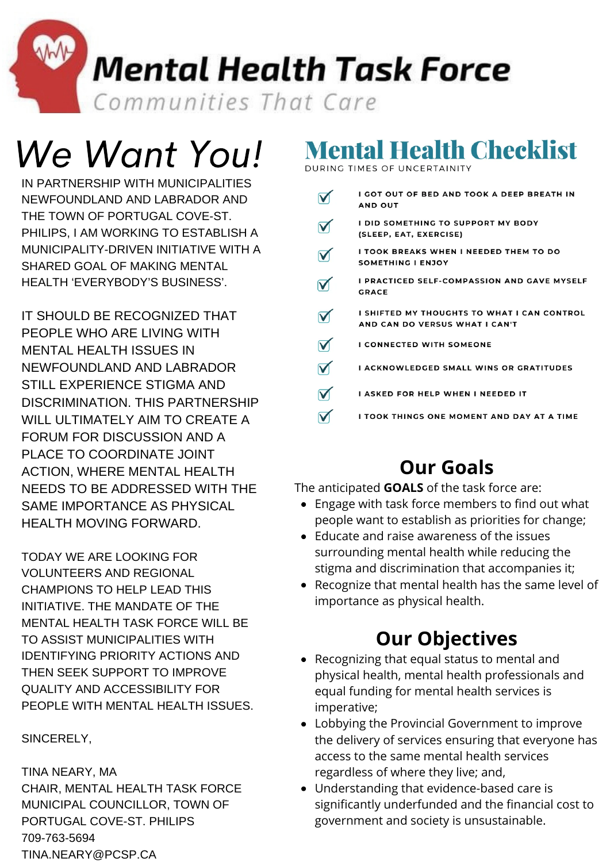**Mental Health Task Force** Communities That Care

# We Want You!

IN PARTNERSHIP WITH MUNICIPALITIES NEWFOUNDLAND AND LABRADOR AND THE TOWN OF PORTUGAL COVE-ST. PHILIPS, I AM WORKING TO ESTABLISH A MUNICIPALITY-DRIVEN INITIATIVE WITH A SHARED GOAL OF MAKING MENTAL HEALTH 'EVERYBODY'S BUSINESS'.

IT SHOULD BE RECOGNIZED THAT PEOPLE WHO ARE LIVING WITH MENTAL HEALTH ISSUES IN NEWFOUNDLAND AND LABRADOR STILL EXPERIENCE STIGMA AND DISCRIMINATION. THIS PARTNERSHIP WILL ULTIMATELY AIM TO CREATE A FORUM FOR DISCUSSION AND A PLACE TO COORDINATE JOINT ACTION, WHERE MENTAL HEALTH NEEDS TO BE ADDRESSED WITH THE SAME IMPORTANCE AS PHYSICAL HEALTH MOVING FORWARD.

TODAY WE ARE LOOKING FOR VOLUNTEERS AND REGIONAL CHAMPIONS TO HELP LEAD THIS INITIATIVE. THE MANDATE OF THE MENTAL HEALTH TASK FORCE WILL BE TO ASSIST MUNICIPALITIES WITH IDENTIFYING PRIORITY ACTIONS AND THEN SEEK SUPPORT TO IMPROVE QUALITY AND ACCESSIBILITY FOR PEOPLE WITH MENTAL HEALTH ISSUES.

SINCERELY,

TINA NEARY, MA CHAIR, MENTAL HEALTH TASK FORCE MUNICIPAL COUNCILLOR, TOWN OF PORTUGAL COVE-ST. PHILIPS 709-763-5694 [TINA.NEARY@PCSP.CA](mailto:tina.neary@pcsp.ca?subject=Mental%20Health%20Task%20Force)

# **Mental Health Checklist**

DURING TIMES OF UNCERTAINITY

| I GOT OUT OF BED AND TOOK A DEEP BREATH IN<br><b>AND OUT</b>                  |
|-------------------------------------------------------------------------------|
| <b>I DID SOMETHING TO SUPPORT MY BODY</b><br>(SLEEP, EAT, EXERCISE)           |
| I TOOK BREAKS WHEN I NEEDED THEM TO DO<br>SOMETHING I ENJOY                   |
| I PRACTICED SELF-COMPASSION AND GAVE MYSELF<br><b>GRACE</b>                   |
| I SHIFTED MY THOUGHTS TO WHAT I CAN CONTROL<br>AND CAN DO VERSUS WHAT I CAN'T |
| <b>I CONNECTED WITH SOMEONE</b>                                               |
| <b>I ACKNOWLEDGED SMALL WINS OR GRATITUDES</b>                                |
| I ASKED FOR HELP WHEN I NEEDED IT                                             |
| I TOOK THINGS ONE MOMENT AND DAY AT A TIME                                    |

### **Our Goals**

The anticipated **GOALS** of the task force are:

- Engage with task force members to find out what people want to establish as priorities for change;
- Educate and raise awareness of the issues surrounding mental health while reducing the stigma and discrimination that accompanies it;
- Recognize that mental health has the same level of importance as physical health.

## **Our Objectives**

- Recognizing that equal status to mental and physical health, mental health professionals and equal funding for mental health services is imperative;
- Lobbying the Provincial Government to improve the delivery of services ensuring that everyone has access to the same mental health services regardless of where they live; and,
- Understanding that evidence-based care is significantly underfunded and the financial cost to government and society is unsustainable.